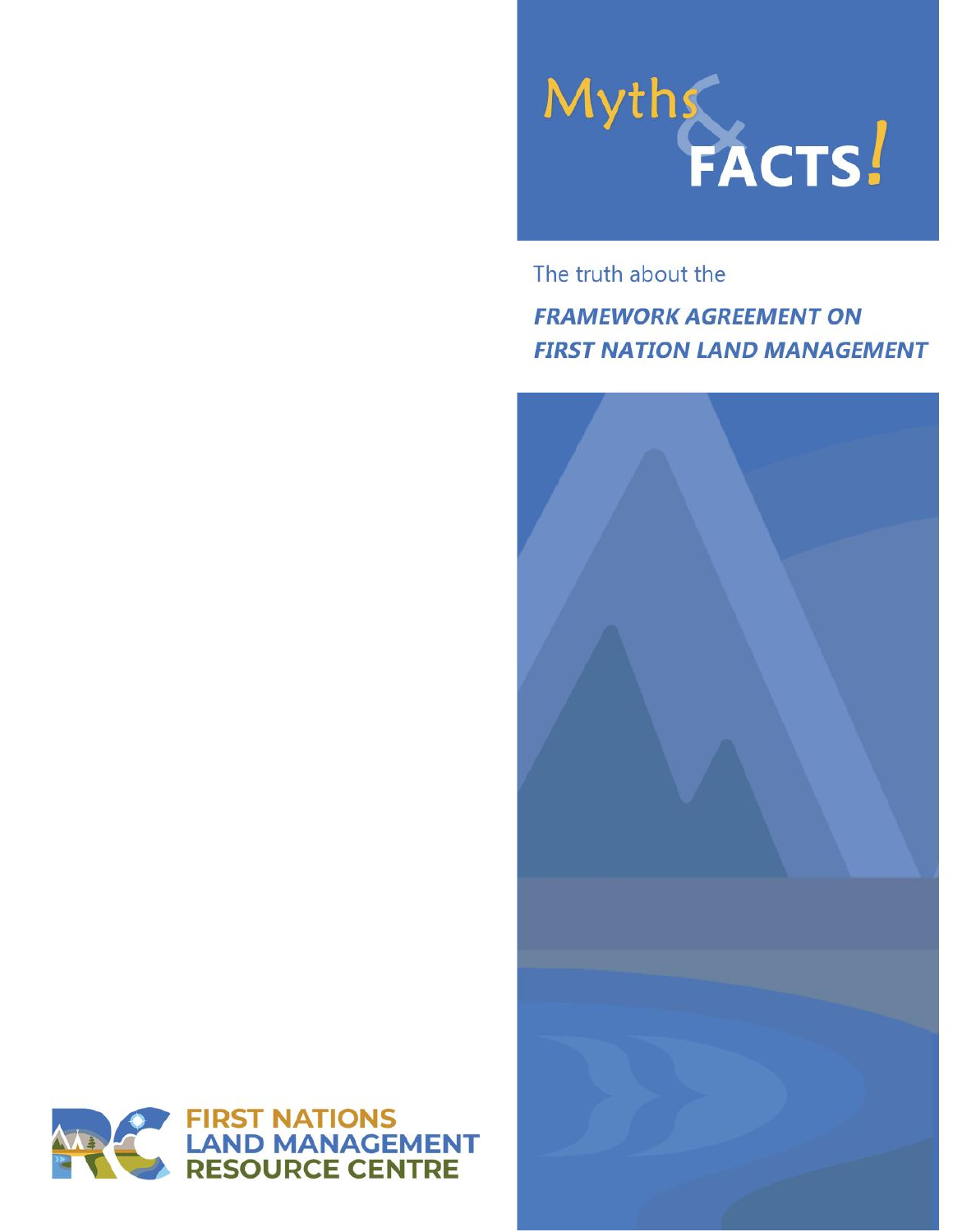

The truth about the

**FRAMEWORK AGREEMENT ON FIRST NATION LAND MANAGEMENT** 



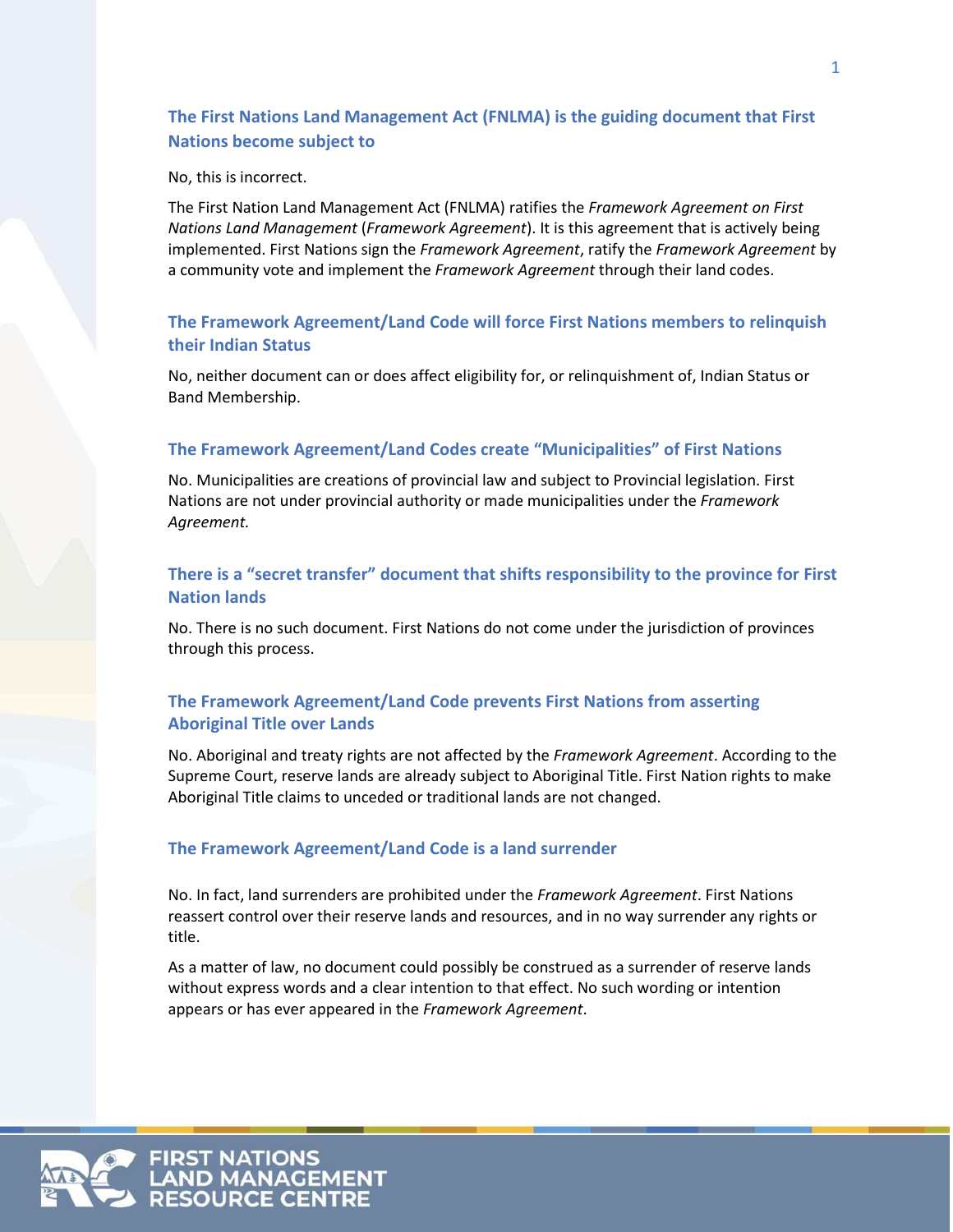# **The First Nations Land Management Act (FNLMA) is the guiding document that First Nations become subject to**

#### No, this is incorrect.

The First Nation Land Management Act (FNLMA) ratifies the *Framework Agreement on First Nations Land Management* (*Framework Agreement*). It is this agreement that is actively being implemented. First Nations sign the *Framework Agreement*, ratify the *Framework Agreement* by a community vote and implement the *Framework Agreement* through their land codes.

# **The Framework Agreement/Land Code will force First Nations members to relinquish their Indian Status**

No, neither document can or does affect eligibility for, or relinquishment of, Indian Status or Band Membership.

#### **The Framework Agreement/Land Codes create "Municipalities" of First Nations**

No. Municipalities are creations of provincial law and subject to Provincial legislation. First Nations are not under provincial authority or made municipalities under the *Framework Agreement.*

## **There is a "secret transfer" document that shifts responsibility to the province for First Nation lands**

No. There is no such document. First Nations do not come under the jurisdiction of provinces through this process.

## **The Framework Agreement/Land Code prevents First Nations from asserting Aboriginal Title over Lands**

No. Aboriginal and treaty rights are not affected by the *Framework Agreement*. According to the Supreme Court, reserve lands are already subject to Aboriginal Title. First Nation rights to make Aboriginal Title claims to unceded or traditional lands are not changed.

#### **The Framework Agreement/Land Code is a land surrender**

No. In fact, land surrenders are prohibited under the *Framework Agreement*. First Nations reassert control over their reserve lands and resources, and in no way surrender any rights or title.

As a matter of law, no document could possibly be construed as a surrender of reserve lands without express words and a clear intention to that effect. No such wording or intention appears or has ever appeared in the *Framework Agreement*.

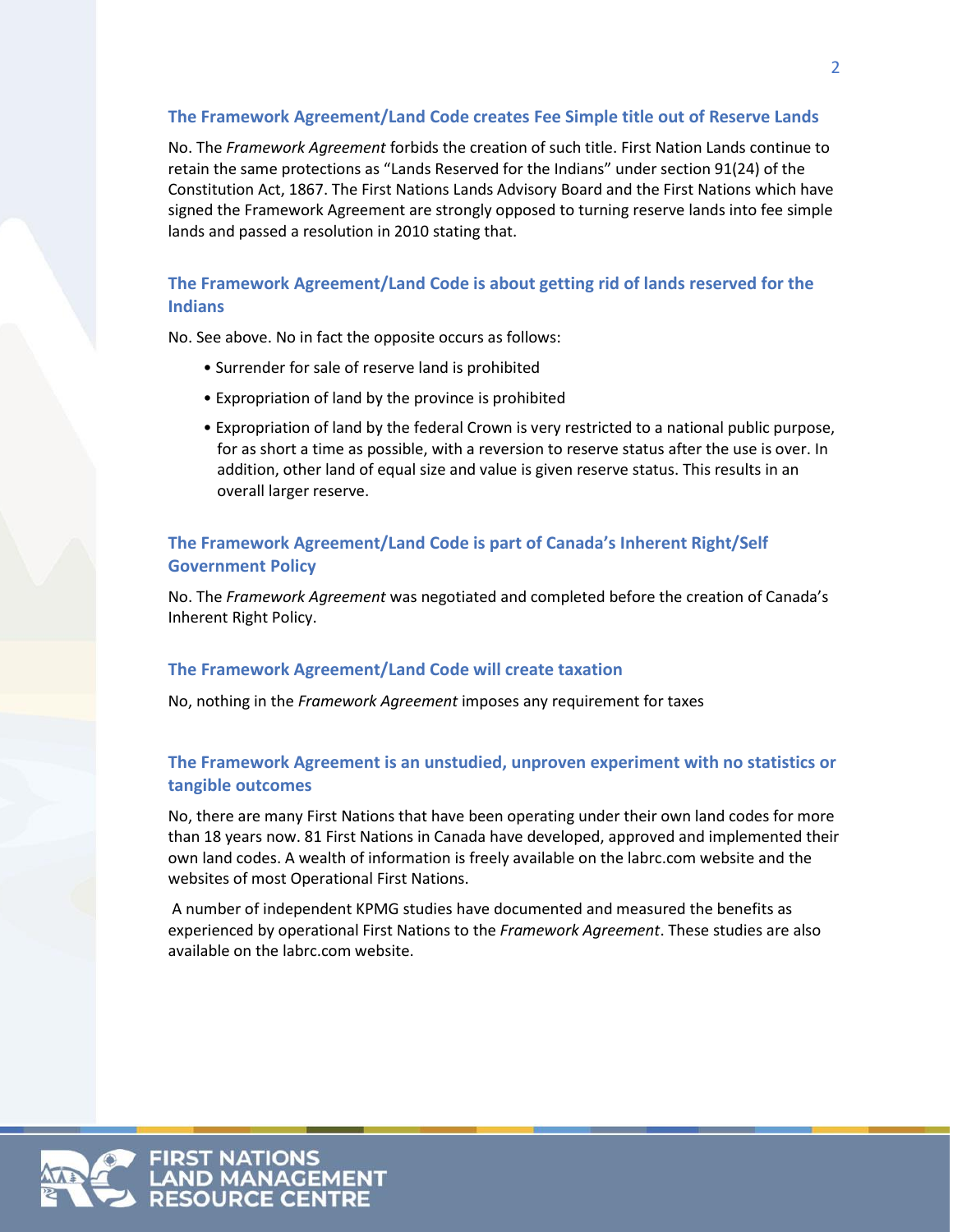# **The Framework Agreement/Land Code creates Fee Simple title out of Reserve Lands**

No. The *Framework Agreement* forbids the creation of such title. First Nation Lands continue to retain the same protections as "Lands Reserved for the Indians" under section 91(24) of the Constitution Act, 1867. The First Nations Lands Advisory Board and the First Nations which have signed the Framework Agreement are strongly opposed to turning reserve lands into fee simple lands and passed a resolution in 2010 stating that.

# **The Framework Agreement/Land Code is about getting rid of lands reserved for the Indians**

No. See above. No in fact the opposite occurs as follows:

- Surrender for sale of reserve land is prohibited
- Expropriation of land by the province is prohibited
- Expropriation of land by the federal Crown is very restricted to a national public purpose, for as short a time as possible, with a reversion to reserve status after the use is over. In addition, other land of equal size and value is given reserve status. This results in an overall larger reserve.

# **The Framework Agreement/Land Code is part of Canada's Inherent Right/Self Government Policy**

No. The *Framework Agreement* was negotiated and completed before the creation of Canada's Inherent Right Policy.

#### **The Framework Agreement/Land Code will create taxation**

No, nothing in the *Framework Agreement* imposes any requirement for taxes

# **The Framework Agreement is an unstudied, unproven experiment with no statistics or tangible outcomes**

No, there are many First Nations that have been operating under their own land codes for more than 18 years now. 81 First Nations in Canada have developed, approved and implemented their own land codes. A wealth of information is freely available on the labrc.com website and the websites of most Operational First Nations.

A number of independent KPMG studies have documented and measured the benefits as experienced by operational First Nations to the *Framework Agreement*. These studies are also available on the labrc.com website.